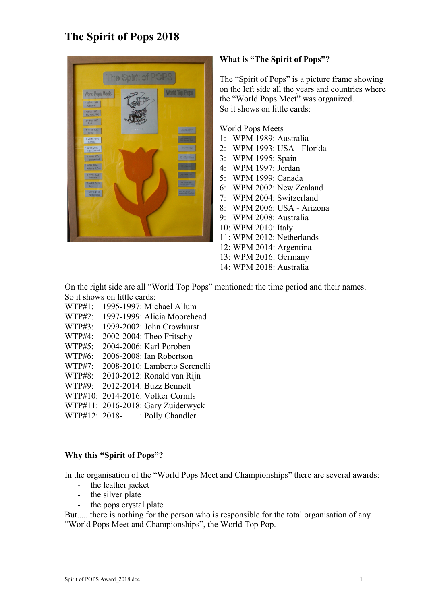

# **What is "The Spirit of Pops"?**

The "Spirit of Pops" is a picture frame showing on the left side all the years and countries where the "World Pops Meet" was organized. So it shows on little cards:

World Pops Meets

- 1: WPM 1989: Australia
- 2: WPM 1993: USA Florida
- 3: WPM 1995: Spain
- 4: WPM 1997: Jordan
- 5: WPM 1999: Canada
- 6: WPM 2002: New Zealand
- 7: WPM 2004: Switzerland
- 8: WPM 2006: USA Arizona
- 9: WPM 2008: Australia
- 10: WPM 2010: Italy
- 11: WPM 2012: Netherlands
- 12: WPM 2014: Argentina
- 13: WPM 2016: Germany
- 14: WPM 2018: Australia

On the right side are all "World Top Pops" mentioned: the time period and their names. So it shows on little cards:

- WTP#1: 1995-1997: Michael Allum
- WTP#2: 1997-1999: Alicia Moorehead
- WTP#3: 1999-2002: John Crowhurst
- WTP#4: 2002-2004: Theo Fritschy
- WTP#5: 2004-2006: Karl Poroben
- WTP#6: 2006-2008: Ian Robertson
- WTP#7: 2008-2010: Lamberto Serenelli
- WTP#8: 2010-2012: Ronald van Rijn
- WTP#9: 2012-2014: Buzz Bennett
- WTP#10: 2014-2016: Volker Cornils
- WTP#11: 2016-2018: Gary Zuiderwyck
- WTP#12: 2018- : Polly Chandler

#### **Why this "Spirit of Pops"?**

In the organisation of the "World Pops Meet and Championships" there are several awards:

- the leather jacket
- the silver plate
- the pops crystal plate

But..... there is nothing for the person who is responsible for the total organisation of any "World Pops Meet and Championships", the World Top Pop.